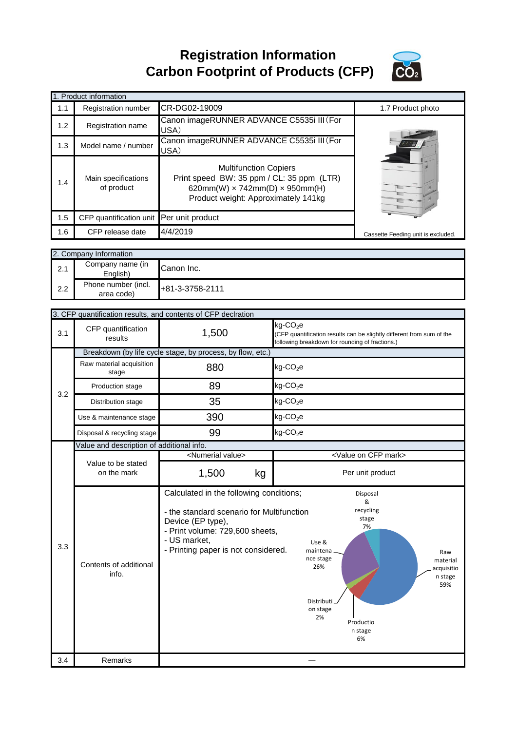**Registration Information Carbon Footprint of Products (CFP)**



|     | 1. Product information                   |                                                                                                                                                                  |                                    |
|-----|------------------------------------------|------------------------------------------------------------------------------------------------------------------------------------------------------------------|------------------------------------|
| 1.1 | <b>Registration number</b>               | CR-DG02-19009                                                                                                                                                    | 1.7 Product photo                  |
| 1.2 | <b>Registration name</b>                 | Canon imageRUNNER ADVANCE C5535i III (For<br>USA)                                                                                                                |                                    |
| 1.3 | Model name / number                      | Canon imageRUNNER ADVANCE C5535i III (For<br>USA)                                                                                                                |                                    |
| 1.4 | Main specifications<br>of product        | <b>Multifunction Copiers</b><br>Print speed BW: 35 ppm / CL: 35 ppm (LTR)<br>620mm(W) $\times$ 742mm(D) $\times$ 950mm(H)<br>Product weight: Approximately 141kg |                                    |
| 1.5 | CFP quantification unit Per unit product |                                                                                                                                                                  |                                    |
| 1.6 | CFP release date                         | 4/4/2019                                                                                                                                                         | Cassette Feeding unit is excluded. |

|     | 2. Company Information            |                 |
|-----|-----------------------------------|-----------------|
| 2.1 | Company name (in<br>English)      | Canon Inc.      |
| 2.2 | Phone number (incl.<br>area code) | +81-3-3758-2111 |

|     |                                                            | 3. CFP quantification results, and contents of CFP declration                                                                                                                                       |                                                                                                                                                                                                      |  |
|-----|------------------------------------------------------------|-----------------------------------------------------------------------------------------------------------------------------------------------------------------------------------------------------|------------------------------------------------------------------------------------------------------------------------------------------------------------------------------------------------------|--|
| 3.1 | CFP quantification<br>results                              | 1,500                                                                                                                                                                                               | kg-CO <sub>2</sub> e<br>(CFP quantification results can be slightly different from sum of the<br>following breakdown for rounding of fractions.)                                                     |  |
|     | Breakdown (by life cycle stage, by process, by flow, etc.) |                                                                                                                                                                                                     |                                                                                                                                                                                                      |  |
| 3.2 | Raw material acquisition<br>stage                          | 880                                                                                                                                                                                                 | $kg$ -CO <sub>2</sub> e                                                                                                                                                                              |  |
|     | Production stage                                           | 89                                                                                                                                                                                                  | $kg$ -CO <sub>2</sub> e                                                                                                                                                                              |  |
|     | Distribution stage                                         | 35                                                                                                                                                                                                  | $kg$ -CO <sub>2</sub> e                                                                                                                                                                              |  |
|     | Use & maintenance stage                                    | 390                                                                                                                                                                                                 | $kg$ -CO <sub>2</sub> e                                                                                                                                                                              |  |
|     | Disposal & recycling stage                                 | 99                                                                                                                                                                                                  | $kg$ -CO <sub>2</sub> e                                                                                                                                                                              |  |
|     | Value and description of additional info.                  |                                                                                                                                                                                                     |                                                                                                                                                                                                      |  |
|     |                                                            | <numerial value=""></numerial>                                                                                                                                                                      | <value cfp="" mark="" on=""></value>                                                                                                                                                                 |  |
|     | Value to be stated<br>on the mark                          | 1,500<br>kg                                                                                                                                                                                         | Per unit product                                                                                                                                                                                     |  |
| 3.3 | Contents of additional<br>info.                            | Calculated in the following conditions;<br>- the standard scenario for Multifunction<br>Device (EP type),<br>- Print volume: 729,600 sheets,<br>- US market,<br>- Printing paper is not considered. | Disposal<br>&<br>recycling<br>stage<br>7%<br>Use &<br>maintena<br>Raw<br>nce stage<br>material<br>26%<br>acquisitio<br>n stage<br>59%<br>Distributi_<br>on stage<br>2%<br>Productio<br>n stage<br>6% |  |
| 3.4 | Remarks                                                    |                                                                                                                                                                                                     |                                                                                                                                                                                                      |  |